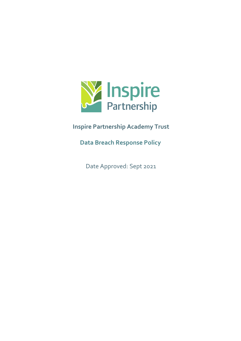

# **Inspire Partnership Academy Trust**

**Data Breach Response Policy**

Date Approved: Sept 2021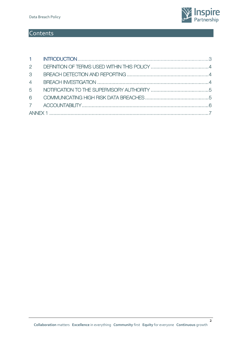

## **Contents**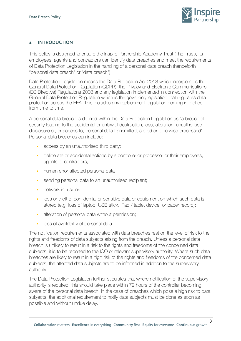

#### <span id="page-2-0"></span>**1 INTRODUCTION**

This policy is designed to ensure the Inspire Partnership Academy Trust (The Trust), its employees, agents and contractors can identify data breaches and meet the requirements of Data Protection Legislation in the handling of a personal data breach (henceforth "personal data breach" or "data breach").

Data Protection Legislation means the Data Protection Act 2018 which incorporates the General Data Protection Regulation (GDPR), the Privacy and Electronic Communications (EC Directive) Regulations 2003 and any legislation implemented in connection with the General Data Protection Regulation which is the governing legislation that regulates data protection across the EEA. This includes any replacement legislation coming into effect from time to time.

A personal data breach is defined within the Data Protection Legislation as "a breach of security leading to the accidental or unlawful destruction, loss, alteration, unauthorised disclosure of, or access to, personal data transmitted, stored or otherwise processed". Personal data breaches can include:

- **access by an unauthorised third party;**
- deliberate or accidental actions by a controller or processor or their employees, agents or contractors;
- **•** human error affected personal data
- sending personal data to an unauthorised recipient;
- **network intrusions**
- loss or theft of confidential or sensitive data or equipment on which such data is stored (e.g. loss of laptop, USB stick, iPad / tablet device, or paper record);
- alteration of personal data without permission;
- **loss of availability of personal data**

The notification requirements associated with data breaches rest on the level of risk to the rights and freedoms of data subjects arising from the breach. Unless a personal data breach is unlikely to result in a risk to the rights and freedoms of the concerned data subjects, it is to be reported to the ICO or relevant supervisory authority. Where such data breaches are likely to result in a high risk to the rights and freedoms of the concerned data subjects, the affected data subjects are to be informed in addition to the supervisory authority.

The Data Protection Legislation further stipulates that where notification of the supervisory authority is required, this should take place within 72 hours of the controller becoming aware of the personal data breach. In the case of breaches which pose a high risk to data subjects, the additional requirement to notify data subjects must be done as soon as possible and without undue delay.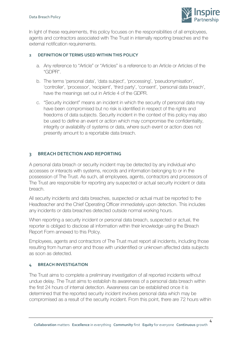#### Data Breach Policy



In light of these requirements, this policy focuses on the responsibilities of all employees, agents and contractors associated with The Trust in internally reporting breaches and the external notification requirements.

#### <span id="page-3-0"></span>**2 DEFINITION OF TERMS USED WITHIN THIS POLICY**

- a. Any reference to "Article" or "Articles" is a reference to an Article or Articles of the "GDPR".
- b. The terms 'personal data', 'data subject', 'processing', 'pseudonymisation', 'controller', 'processor', 'recipient', 'third party', 'consent', 'personal data breach', have the meanings set out in Article 4 of the GDPR.
- c. "Security incident" means an incident in which the security of personal data may have been compromised but no risk is identified in respect of the rights and freedoms of data subjects. Security incident in the context of this policy may also be used to define an event or action which may compromise the confidentiality, integrity or availability of systems or data, where such event or action does not presently amount to a reportable data breach.

#### <span id="page-3-1"></span>**3 BREACH DETECTION AND REPORTING**

A personal data breach or security incident may be detected by any individual who accesses or interacts with systems, records and information belonging to or in the possession of The Trust. As such, all employees, agents, contractors and processors of The Trust are responsible for reporting any suspected or actual security incident or data breach.

All security incidents and data breaches, suspected or actual must be reported to the Headteacher and the Chief Operating Officer immediately upon detection. This includes any incidents or data breaches detected outside normal working hours.

When reporting a security incident or personal data breach, suspected or actual, the reporter is obliged to disclose all information within their knowledge using the Breach Report Form annexed to this Policy.

Employees, agents and contractors of The Trust must report all incidents, including those resulting from human error and those with unidentified or unknown affected data subjects as soon as detected.

#### <span id="page-3-2"></span>**4 BREACH INVESTIGATION**

The Trust aims to complete a preliminary investigation of all reported incidents without undue delay. The Trust aims to establish its awareness of a personal data breach within the first 24 hours of internal detection. Awareness can be established once it is determined that the reported security incident involves personal data which may be compromised as a result of the security incident. From this point, there are 72 hours within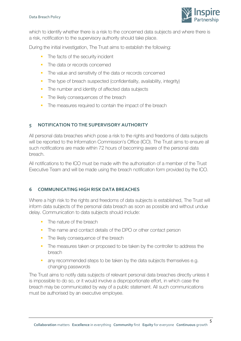

which to identify whether there is a risk to the concerned data subjects and where there is a risk, notification to the supervisory authority should take place.

During the initial investigation, The Trust aims to establish the following:

- The facts of the security incident
- **The data or records concerned**
- The value and sensitivity of the data or records concerned
- The type of breach suspected (confidentiality, availability, integrity)
- The number and identity of affected data subjects
- The likely consequences of the breach
- The measures required to contain the impact of the breach

#### <span id="page-4-0"></span>**5 NOTIFICATION TO THE SUPERVISORY AUTHORITY**

All personal data breaches which pose a risk to the rights and freedoms of data subjects will be reported to the Information Commission's Office (ICO). The Trust aims to ensure all such notifications are made within 72 hours of becoming aware of the personal data breach.

All notifications to the ICO must be made with the authorisation of a member of the Trust Executive Team and will be made using the breach notification form provided by the ICO.

### <span id="page-4-1"></span>**6 COMMUNICATING HIGH RISK DATA BREACHES**

Where a high risk to the rights and freedoms of data subjects is established, The Trust will inform data subjects of the personal data breach as soon as possible and without undue delay. Communication to data subjects should include:

- The nature of the breach
- The name and contact details of the DPO or other contact person
- The likely consequence of the breach
- **The measures taken or proposed to be taken by the controller to address the** breach
- any recommended steps to be taken by the data subjects themselves e.g. changing passwords

The Trust aims to notify data subjects of relevant personal data breaches directly unless it is impossible to do so, or it would involve a disproportionate effort, in which case the breach may be communicated by way of a public statement. All such communications must be authorised by an executive employee.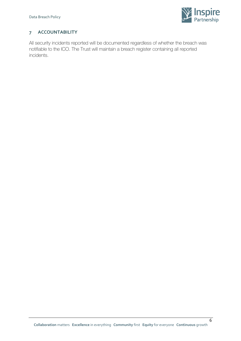

### <span id="page-5-0"></span>**7 ACCOUNTABILITY**

All security incidents reported will be documented regardless of whether the breach was notifiable to the ICO. The Trust will maintain a breach register containing all reported incidents.